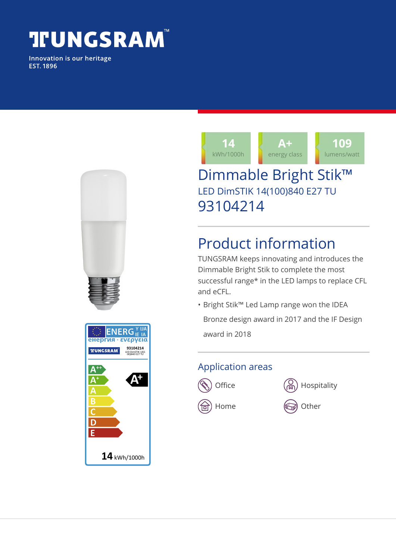# **TUNGSRAM**

Innovation is our heritage **EST. 1896** 





## Dimmable Bright Stik™ LED DimSTIK 14(100)840 E27 TU 93104214

# Product information

TUNGSRAM keeps innovating and introduces the Dimmable Bright Stik to complete the most successful range\* in the LED lamps to replace CFL and eCFL.

• Bright Stik™ Led Lamp range won the IDEA Bronze design award in 2017 and the IF Design

award in 2018

#### Application areas





 $\textcircled{\tiny{\textsf{m}}}$  Home  $\textcircled{\tiny{\textsf{m}}}$  Other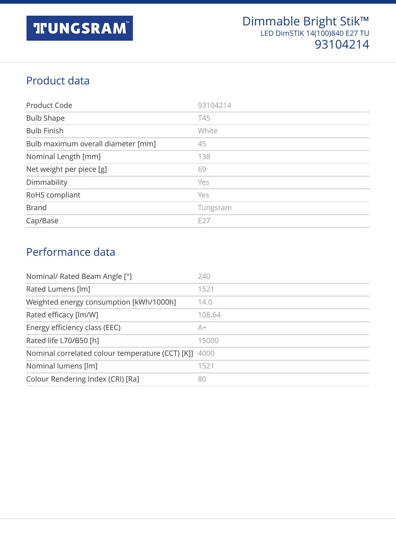### Product data

| Product Code                       | 93104214   |
|------------------------------------|------------|
| <b>Bulb Shape</b>                  | <b>T45</b> |
| <b>Bulb Finish</b>                 | White      |
| Bulb maximum overall diameter [mm] | 45         |
| Nominal Length [mm]                | 138        |
| Net weight per piece [g]           | 69         |
| Dimmability                        | Yes        |
| RoHS compliant                     | Yes        |
| <b>Brand</b>                       | Tungsram   |
| Cap/Base                           | E27        |

#### Performance data

| Nominal/ Rated Beam Angle [°]                         | 240    |
|-------------------------------------------------------|--------|
| Rated Lumens [lm]                                     | 1521   |
| Weighted energy consumption [kWh/1000h]               | 14.0   |
| Rated efficacy [lm/W]                                 | 108.64 |
| Energy efficiency class (EEC)                         | A+     |
| Rated life L70/B50 [h]                                | 15000  |
| Nominal correlated colour temperature (CCT) [K]] 4000 |        |
| Nominal lumens [lm]                                   | 1521   |
| Colour Rendering Index (CRI) [Ra]                     | 80     |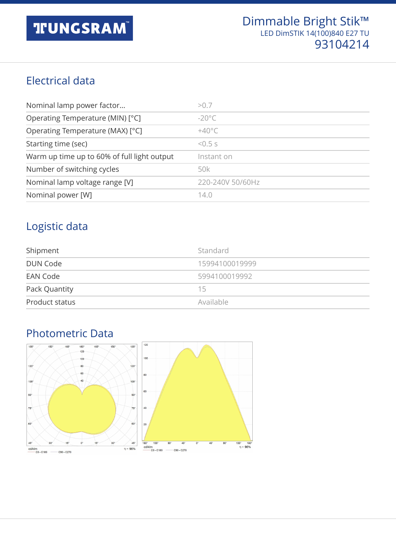#### Electrical data

| Nominal lamp power factor                   | > 0.7                 |
|---------------------------------------------|-----------------------|
| Operating Temperature (MIN) [°C]            | $-20^{\circ}$ C       |
| Operating Temperature (MAX) [°C]            | $+40^{\circ}$ C       |
| Starting time (sec)                         | $5.5 \times 10^{-15}$ |
| Warm up time up to 60% of full light output | Instant on            |
| Number of switching cycles                  | 50k                   |
| Nominal lamp voltage range [V]              | 220-240V 50/60Hz      |
| Nominal power [W]                           | 14.0                  |

#### Logistic data

| Shipment        | Standard       |
|-----------------|----------------|
| <b>DUN Code</b> | 15994100019999 |
| EAN Code        | 5994100019992  |
| Pack Quantity   | 15             |
| Product status  | Available      |

### Photometric Data